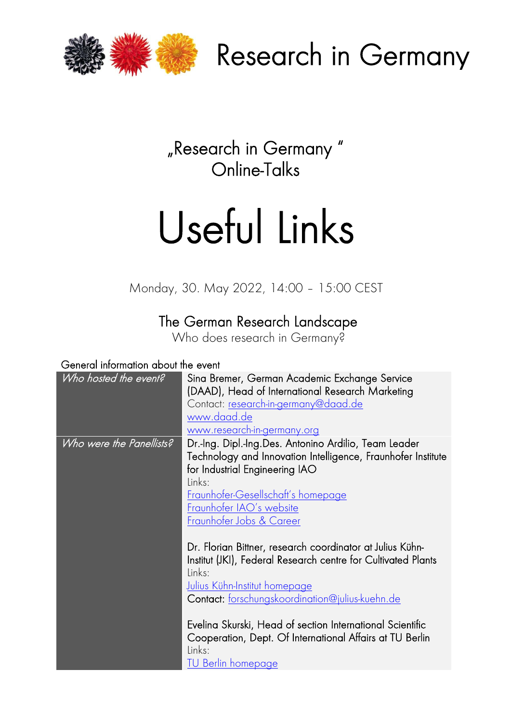

Research in Germany

"Research in Germany " Online-Talks

## Useful Links

Monday, 30. May 2022, 14:00 – 15:00 CEST

## The German Research Landscape

Who does research in Germany?

## General information about the event

| Who hosted the event?    | Sina Bremer, German Academic Exchange Service<br>(DAAD), Head of International Research Marketing<br>Contact: research-in-germany@daad.de<br>www.daad.de<br>www.research-in-germany.org                                                                                                                                                                            |
|--------------------------|--------------------------------------------------------------------------------------------------------------------------------------------------------------------------------------------------------------------------------------------------------------------------------------------------------------------------------------------------------------------|
| Who were the Panellists? | Dr.-Ing. Dipl.-Ing.Des. Antonino Ardilio, Team Leader<br>Technology and Innovation Intelligence, Fraunhofer Institute<br>for Industrial Engineering IAO<br>Links:<br><u>Fraunhofer-Gesellschaft's homepage</u><br>Fraunhofer IAO's website<br><u>Fraunhofer Jobs &amp; Career</u>                                                                                  |
|                          | Dr. Florian Bittner, research coordinator at Julius Kühn-<br>Institut (JKI), Federal Research centre for Cultivated Plants<br>Links:<br><u>Julius Kühn-Institut homepage</u><br>Contact: forschungskoordination@julius-kuehn.de<br>Evelina Skurski, Head of section International Scientific<br>Cooperation, Dept. Of International Affairs at TU Berlin<br>Links: |
|                          | TU Berlin homepage                                                                                                                                                                                                                                                                                                                                                 |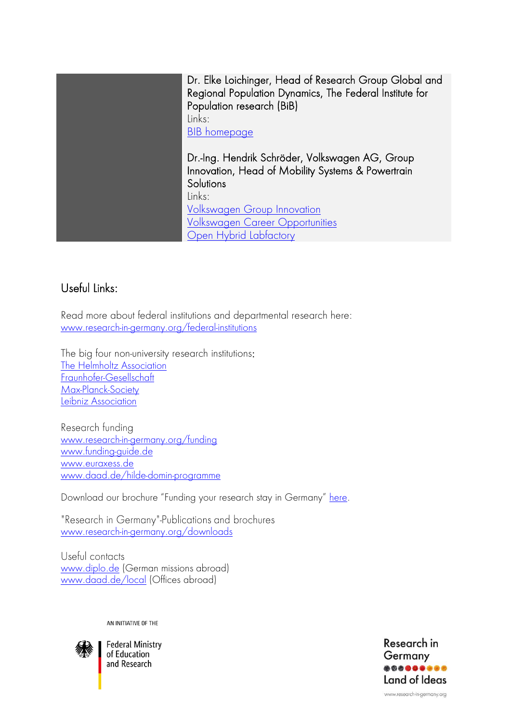Dr. Elke Loichinger, Head of Research Group Global and Regional Population Dynamics, The Federal Institute for Population research (BiB) Links: [BIB homepage](https://www.bib.bund.de/EN/Home.html) Dr.-Ing. Hendrik Schröder, Volkswagen AG, Group Innovation, Head of Mobility Systems & Powertrain **Solutions** Links: [Volkswagen Group Innovation](https://www.volkswagenag.com/en/group/group-innovation.html) [Volkswagen Career Opportunities](https://www.volkswagenag.com/en/career.html) [Open Hybrid Labfactory](https://open-hybrid-labfactory.de/)

## Useful Links:

Read more about federal institutions and departmental research here: [www.research-in-germany.org/federal-institutions](https://www.research-in-germany.org/en/research-landscape/research-institutes/federal-institutions.html)

The big four non-university research institutions: [The Helmholtz Association](https://www.helmholtz.de/en/) [Fraunhofer-Gesellschaft](http://www.fraunhofer.com/) [Max-Planck-Society](https://www.mpg.de/en) [Leibniz Association](https://www.leibniz-gemeinschaft.de/en/)

Research funding [www.research-in-germany.org/funding](http://www.research-in-germany.org/funding) [www.funding-guide.de](http://www.funding-guide.de/) [www.euraxess.de](https://www.euraxess.de/) [www.daad.de/hilde-domin-programme](https://www.daad.de/en/study-and-research-in-germany/scholarships/hilde-domin-programm/)

Download our brochure "Funding your research stay in Germany" [here.](https://www.research-in-germany.org/dam/jcr:46ea48d4-0f81-4756-ac80-d9ed5fe7abd4/DAAD_RIG_Funding_2021_22.pdf)

"Research in Germany"-Publications and brochures [www.research-in-germany.org/downloads](https://www.research-in-germany.org/downloads)

Useful contacts [www.diplo.de](http://www.diplo.de/) (German missions abroad) [www.daad.de/local](http://www.daad.de/local) (Offices abroad)

AN INITIATIVE OF THE



**Federal Ministry** of Education and Research